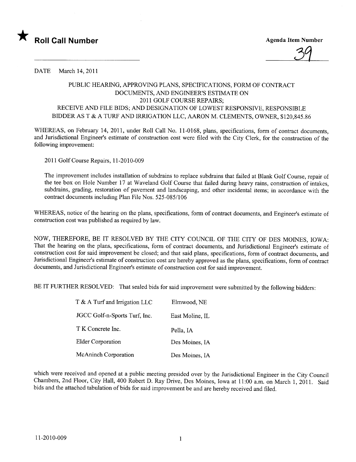

3q

DATE March 14, 2011

## PUBLIC HEARING, APPROVING PLANS, SPECIFICATIONS, FORM OF CONTRACT DOCUMENTS, AND ENGINEER'S ESTIMATE ON 2011 GOLF COURSE REPAIRS; RECEIVE AND FILE BIDS; AND DESIGNATION OF LOWEST RESPONSIVE, RESPONSIBLE BIDDER AS T & A TURF AND IRRIGATION LLC, AARON M. CLEMENTS, OWNER, \$120,845.86

WHEREAS, on February 14, 2011, under Roll Call No. 11-0168, plans, specifications, form of contract documents, and Jurisdictional Engineer's estimate of construction cost were fied with the City Clerk, for the construction of the following improvement:

2011 Golf Course Repairs, 11-2010-009

The improvement includes installation of subdrains to replace subdrains that failed at Blank Golf Course, repair of the tee box on Hole Number 17 at Waveland Golf Course that failed during heavy rains, construction of intakes, subdrains, grading, restoration of pavement and landscaping, and other incidental items; in accordance with the contract documents including Plan File Nos. 525-085/106

WHEREAS, notice of the hearing on the plans, specifications, form of contract documents, and Engineer's estimate of construction cost was published as required by law.

NOW, THEREFORE, BE IT RESOLVED BY THE CITY COUNCIL OF THE CITY OF DES MOINES, IOWA: That the hearing on the plans, specifications, form of contract documents, and Jurisdictional Engineer's estimate of construction cost for said improvement be closed; and that said plans, specifications, form of contract documents, and Jurisdictional Engineer's estimate of construction cost are hereby approved as the plans, specifications, form of contract documents, and Jurisdictional Engineer's estimate of construction cost for said improvement.

BE IT FURTHER RESOLVED: That sealed bids for said improvement were submitted by the following bidders:

| T & A Turf and Irrigation LLC | Elmwood, NE     |
|-------------------------------|-----------------|
| JGCC Golf-n-Sports Turf, Inc. | East Moline. IL |
| T K Concrete Inc.             | Pella, IA       |
| <b>Elder Corporation</b>      | Des Moines, IA  |
| McAninch Corporation          | Des Moines, IA  |

which were received and opened at a public meeting presided over by the Jurisdictional Engineer in the City Council Chambers, 2nd Floor, City Hall, 400 Robert D. Ray Drive, Des Moines, Iowa at 11:00 a.m. on March 1, 2011. Said bids and the attached tabulation of bids for said improvement be and are hereby received and fied.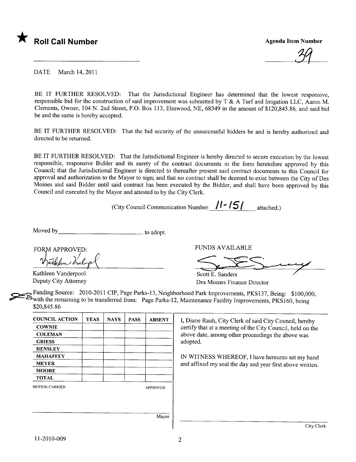

34

DATE March 14, 2011

BE IT FURTHER RESOLVED: That the Jurisdictional Engineer has determined that the lowest responsive, responsible bid for the construction of said improvement was submitted by T & A Turf and Irrigation LLC, Aaron M. Clements, Owner, 104 N. 2nd Street, P.O. Box i 13, Elmwood, NE, 68349 in the amount of \$120,845.86, and said bid be and the same is hereby accepted.

BE IT FURTHER RESOLVED: That the bid security of the unsuccessful bidders be and is hereby authorized and directed to be retumed.

BE IT FURTHER RESOLVED: That the Jurisdictional Engineer is hereby directed to secure execution by the lowest responsible, responsive Bidder and its surety of the contract documents in the form heretofore approved by this Council; that the Jurisdictional Engineer is directed to thereafter present said contract documents to this Council for approval and authorization to the Mayor to sign; and that no contract shall be deemed to exist between the City of Des Moines and said Bidder until said contract has been executed by the Bidder, and shall have been approved by this Council and executed by the Mayor and attested to by the City Clerk.

(City Council Communication Number  $\frac{1}{\sqrt{5}}$  attached.)

Moved by the state of adopt.

FORM APPROVED: uthlin that pl

Kathleen Vanderpool Deputy City Attomey

FUNDS AVAILABLE

Scott E. Sanders VINDS AVAILABLE

Des Moines Finance Director

c: Funding Source: 2010-2011 CIP, Page Parks-13, Neighborhood Park Improvements, PKS137, Being: \$100,000, with the remaining to be transferred from: Page Parks-12, Maintenance Facility Improvements, PKS160, being \$20,845.86

| <b>COUNCIL ACTION</b> | <b>YEAS</b> | <b>NAYS</b> | <b>PASS</b> | <b>ABSENT</b>   |
|-----------------------|-------------|-------------|-------------|-----------------|
| <b>COWNIE</b>         |             |             |             |                 |
| <b>COLEMAN</b>        |             |             |             |                 |
| <b>GRIESS</b>         |             |             |             |                 |
| <b>HENSLEY</b>        |             |             |             |                 |
| <b>MAHAFFEY</b>       |             |             |             |                 |
| <b>MEYER</b>          |             |             |             |                 |
| <b>MOORE</b>          |             |             |             |                 |
| <b>TOTAL</b>          |             |             |             |                 |
| MOTION CARRIED        |             |             |             | <b>APPROVED</b> |
|                       |             |             |             |                 |
|                       |             |             |             |                 |
|                       |             |             |             |                 |
|                       |             |             |             | Mayor           |

I, Diane Rauh, City Clerk of said City Council, hereby certify that at a meeting of the City Council, held on the above date, among other proceedings the above was adopted.

IN WITNESS WHEREOF, I have hereunto set my hand and affixed my seal the day and year first above written.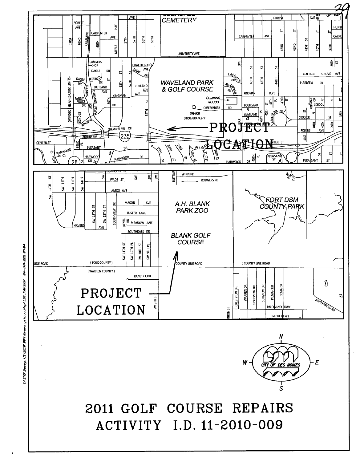## 2011 GOLF COURSE REPAIRS ACTIVITY I.D. 11-2010-009



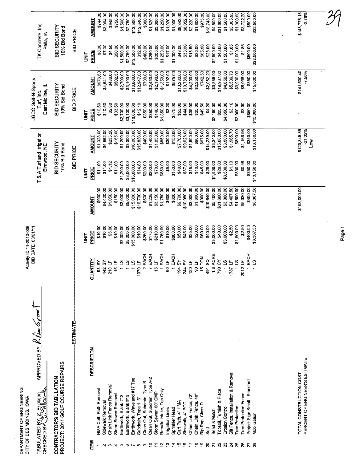|                                                                                                                   |                                                                  |                  | <b>AMOUNT</b>               | \$744.00              | \$3,094.00                 | \$945.00                                   | \$750.00                 | \$1,500.00                | \$2,750.00<br>\$13,500.00                                          | \$12,840.00                      | \$800.00                         | \$1,820.00                                                 | \$3,000.00<br>\$1,250.00       | \$1,020.00             | \$1,000.00                  | \$8,342.00              | \$8,052.00            | \$2,220.00<br>\$1,800.00                                  | \$975.00               | \$13,748.00               | \$4,500.00                     | \$31,600.00                                | \$1,500.00                    | \$3,305.95<br>\$1,000.00                                                             | \$3,722.20                       | \$500.00                                       | \$22,500.00    |  | \$148,778.15<br>$-2.76%$                                  |  |
|-------------------------------------------------------------------------------------------------------------------|------------------------------------------------------------------|------------------|-----------------------------|-----------------------|----------------------------|--------------------------------------------|--------------------------|---------------------------|--------------------------------------------------------------------|----------------------------------|----------------------------------|------------------------------------------------------------|--------------------------------|------------------------|-----------------------------|-------------------------|-----------------------|-----------------------------------------------------------|------------------------|---------------------------|--------------------------------|--------------------------------------------|-------------------------------|--------------------------------------------------------------------------------------|----------------------------------|------------------------------------------------|----------------|--|-----------------------------------------------------------|--|
| TK Concrete, Inc.<br>Pella, IA                                                                                    | BID SECURITY<br>10% Bid Bond                                     | <b>BID PRICE</b> | <b>PRICE</b><br><b>TIXL</b> | \$8.00                | \$7.00                     | \$4.50                                     | \$50.00                  | \$1,500.00                | \$13,500.00<br>\$2,750.00                                          | \$12.00                          | \$400.00                         | \$260.00<br>\$200.00                                       | \$1,250.00                     | \$17.00                | \$1,000.00                  | \$43.00                 | \$33.00               | \$18.50<br>\$20.00                                        | \$65.00                | \$28.00                   | \$2,500.00                     | \$40.00                                    | \$1,500.00                    | \$1.85<br>\$1,000.00                                                                 | \$1.85                           | \$500.00                                       | \$22,500.00    |  |                                                           |  |
|                                                                                                                   |                                                                  |                  | <b>AMOUNT</b>               | \$976.50              | \$4,641.00                 | \$483.00                                   | \$502.50                 | \$2,700.00                | \$18,600.00<br>\$3,100.00                                          | \$12,947.00                      | \$700.00                         | \$2,450.00                                                 | \$1,350.00<br>\$2,190.00       | \$192.00               | \$575.00                    | \$10,282.00             | \$10,736.00           | \$4,200.00<br>\$2,250.00                                  | \$742.50               | \$2,062.20                | \$3,888.00                     | \$19,987.00                                | \$4,650.00                    | \$5,539.70<br>\$3,900.00                                                             | \$6,036.00                       | \$850.00                                       | \$15,000.00    |  | \$141,530.40<br>$-7.50%$                                  |  |
| JGCC Golf-N-Sports<br>East Moline, IL<br>Turf, Inc.                                                               | BID SECURITY<br>10% Bid Bond                                     | <b>BID PRICE</b> | PRICE<br>i<br>M             | \$10.50               | \$10.50                    | \$2.30                                     | \$33.50                  | \$2,700.00                | \$3,100.00<br>\$18,600.00                                          | \$12.10                          | \$350.00                         | \$350.00<br>\$146.00                                       | \$1,350.00                     | \$3.20                 | \$575.00                    | \$53.00                 | \$44.00               | \$35.00<br>\$25.00                                        | \$49.50                | \$4.20                    | \$2,160.00                     | \$25.30                                    | \$4,650.00                    | \$3.10<br>\$3,900.00                                                                 | \$3.00                           | \$850.00                                       | \$15,000.00    |  |                                                           |  |
|                                                                                                                   |                                                                  |                  | <b>AMOUNT</b>               | \$1,023.00            | \$4,862.00                 | \$235.20                                   | \$165.00                 | \$1,200.00                | \$3,000.00<br>\$16,000.00                                          | \$15,836.00                      | \$400.00                         | \$1,400.00<br>\$1,050.00                                   | \$850.00                       | \$300.00               | \$150.00                    | \$7,760.00              | \$9,028.00            | \$1,800.00<br>\$900.00                                    | \$675.00               | \$14,239.00               | \$3,240.00                     | \$15,800.00                                | \$3,500.00                    | \$1,965.70<br>\$800.00                                                               | \$1,166.96                       | \$350.00                                       | \$13,150.00    |  | \$120,845.86<br>$-21.02%$<br><b>No</b>                    |  |
| T & A Turf and Irrigation<br>Elmwood, NE                                                                          | BID SECURITY<br>10% Bid Bond                                     | <b>BID PRICE</b> | PRICE<br><b>SPIRE</b>       | \$11.00               | \$11.00                    | \$1.12                                     | \$11.00                  | \$1,200.00                | \$3,000.00<br>\$16,000.00                                          | \$14.80                          | \$200.00                         | \$200.00<br>\$70.00                                        | \$850.00                       | \$5.00                 | \$150.00                    | \$40.00                 | \$37.00               | \$15.00<br>\$10.00                                        | \$45.00                | \$29.00                   | \$1,800.00                     | \$20.00                                    | \$3,500.00                    | \$1.10<br>\$800.00                                                                   | \$0.58                           | \$350.00                                       | \$13,150.00    |  |                                                           |  |
|                                                                                                                   |                                                                  |                  | <b>AMOUNT</b>               | \$930.00              | \$4,420.00                 | \$1,050.00                                 | \$150.00                 | \$2,000.00                | \$5,000.00<br>\$15,000.00                                          | \$10,700.00                      | \$500.00                         | \$1,225.00<br>\$3,150.00                                   | \$1,750.00                     | \$600.00               | \$800.00                    | \$9,700.00              | \$10,980.00           | \$1,800.00<br>\$3,000.00                                  | \$900.00               | \$19,640.00               | \$5,400.00                     | \$31,600.00                                | \$3,000.00                    | \$4,467.50<br>\$1,500.00                                                             | \$5,030.00                       | \$400.00                                       | \$8,307.50     |  | \$153,000.00                                              |  |
| Activity ID 11-2010-009<br>BID DATE: 03/01/11                                                                     |                                                                  |                  | PRICE<br><b>UNL</b>         | \$10.00               | \$10.00                    | \$5.00                                     | \$10.00                  | \$2,000.00                | \$5,000.00<br>\$15,000.00                                          | \$10.00                          | \$250.00                         | \$175.00<br>\$210.00                                       | \$1,750.00                     | \$10.00                | \$800.00                    | \$50.00                 | \$45.00               | \$25.00<br>\$20.00                                        | \$60.00                | \$40.00                   | \$3,000.00                     | \$40.00                                    | \$3,000.00                    | \$2.50<br>\$1,500.00                                                                 | \$2.50                           | \$400.00                                       | \$8,307.50     |  |                                                           |  |
|                                                                                                                   |                                                                  |                  | QUANTITY                    | 93 SY                 | ŠΥ<br>$\vec{a}$            | $\mathbf{L}$<br>$\circ$<br>$\frac{4}{4}$ 2 | ୳<br>မာ                  | <u>ပိ</u><br>്            | $\overline{\mathbf{c}}$                                            | ے<br>$\circ$<br>ē                | EACH<br>$\mathbf{\Omega}$        | EACH<br>$\overline{a}$<br>io.                              | EACH                           | 60 LF                  | EACH                        | $\mathcal{S}$<br>194    | 244 SY<br>120 LF      | 90 L F                                                    | FON<br>$\overline{5}$  | SQ<br>491                 | <b>1.8 ACRE</b>                | $\delta$<br>790                            | $\frac{1}{2}$<br>$\leftarrow$ | $\mathbf{a}$<br>1787                                                                 | $\overline{a}$<br>$\overline{5}$ | EACH                                           | $\overline{a}$ |  |                                                           |  |
| APPROVED BY $R$ ( $\sim$ 6/00)<br>GZ Erickson<br>ځ<br>چ<br>CITY OF DES MOINES, IOVA<br>TABULATED BY<br>CHECKED BY | PROJECT: 2011 GOLF COURSE REPAIRS<br>CONTRACTOR'S BID TABULATION | ESTIMATE         | <b>DESCRIPTION</b><br>ITEM  | HMA Cath Path Removal | Sidewalk Removal<br>$\sim$ | Chain Link Fence Removal<br>က              | Storm Sewer Removal<br>4 | Earthwork, Blank #12<br>Ю | Earthwork, Waveland #17 Tee<br>Earthwork, Blank #13<br>$\mathbf o$ | Subdrain, Type 1, 6"<br>$\infty$ | Clean Out, Subdrain, Type B<br>თ | Clean Out, Subdrain, Type A-2<br>Storm Sewer, 60" CMP<br>9 | Rebuild Intake, Top Only<br>يہ | Irrigation Lines<br>င္ | Sprinkler Head<br>$\dot{z}$ | Cart Path, 4" HMA<br>ءِ | Sidewalk, 4" PCC<br>ٶ | Chain Link Fence, 48"<br>Chain Link Fence, 72"<br>٩<br>17 | Rip Rap, Class D<br>စ္ | នី<br>ទី<br>$\mathcal{S}$ | Seed & Mulch<br>$\overline{z}$ | Topsoil, Furnish & Place<br>$\overline{2}$ | Erosion Control<br>23         | Silt Fence, Installation & Removal<br><b>Tree Protection</b><br>25<br>$\overline{a}$ | Tree Protection Fence<br>26      | Project Sign Small - Standard<br>$\frac{2}{3}$ | Mobilization   |  | PERCENT OF ENGINEER'S ESTIMATE<br>TOTAL CONSTRUCTION COST |  |

 $\bar{\tau}$ 

 $\bar{z}$ 

 $\bar{\mathcal{A}}$ 

DEPARTMENT OF ENGINEERING

Page 1